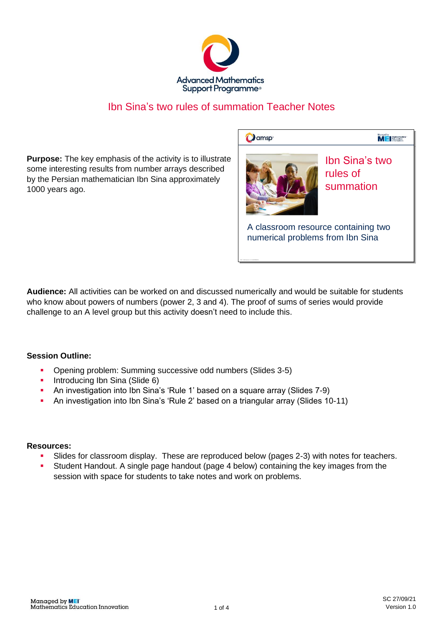

## Ibn Sina's two rules of summation Teacher Notes

**Purpose:** The key emphasis of the activity is to illustrate some interesting results from number arrays described by the Persian mathematician Ibn Sina approximately 1000 years ago.

**D**amsp



Ibn Sina′s two<br>rules of<br>summation Ibn Sina's two rules of

**M** El Mathematics

A classroom resource containing two<br>numerical problems from Ibn Sina A classroom resource containing two

**Audience:** All activities can be worked on and discussed numerically and would be suitable for students who know about powers of numbers (power 2, 3 and 4). The proof of sums of series would provide challenge to an A level group but this activity doesn't need to include this.

## **Session Outline:**

- Opening problem: Summing successive odd numbers (Slides 3-5)
- **•** Introducing Ibn Sina (Slide 6)
- An investigation into Ibn Sina's 'Rule 1' based on a square array (Slides 7-9)
- An investigation into Ibn Sina's 'Rule 2' based on a triangular array (Slides 10-11)

## **Resources:**

- Slides for classroom display. These are reproduced below (pages 2-3) with notes for teachers.
- Student Handout. A single page handout (page 4 below) containing the key images from the session with space for students to take notes and work on problems.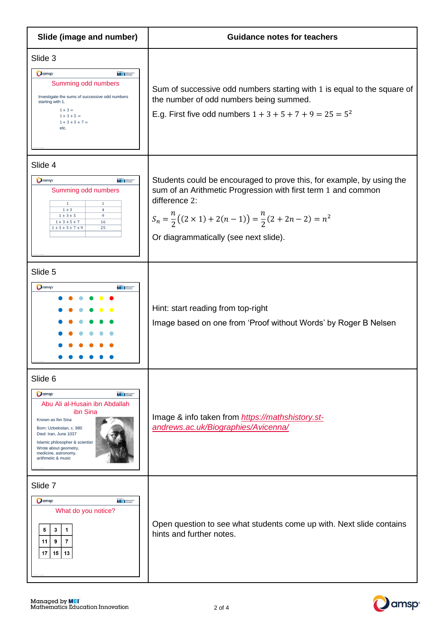| Slide (image and number)                                                                                                                                                                                                                                                           | <b>Guidance notes for teachers</b>                                                                                                                                                                                                                                             |  |  |  |  |  |
|------------------------------------------------------------------------------------------------------------------------------------------------------------------------------------------------------------------------------------------------------------------------------------|--------------------------------------------------------------------------------------------------------------------------------------------------------------------------------------------------------------------------------------------------------------------------------|--|--|--|--|--|
| Slide 3<br><b>O</b> amsp<br><b>MEISSE</b><br>Summing odd numbers<br>Investigate the sums of successive odd numbers<br>starting with 1.<br>$1 + 3 =$<br>$1 + 3 + 5 =$<br>$1 + 3 + 5 + 7 =$<br>etc.                                                                                  | Sum of successive odd numbers starting with 1 is equal to the square of<br>the number of odd numbers being summed.<br>E.g. First five odd numbers $1 + 3 + 5 + 7 + 9 = 25 = 5^2$                                                                                               |  |  |  |  |  |
| Slide 4<br><b>O</b> amsp<br><b>MEI</b><br>Summing odd numbers<br>$\mathbf{1}$<br>$\mathbf{1}$<br>$1 + 3$<br>$\overline{4}$<br>$1 + 3 + 5$<br>9<br>$1 + 3 + 5 + 7$<br>16<br>$1 + 3 + 5 + 7 + 9$<br>25                                                                               | Students could be encouraged to prove this, for example, by using the<br>sum of an Arithmetic Progression with first term 1 and common<br>difference 2:<br>$S_n = \frac{n}{2}((2 \times 1) + 2(n-1)) = \frac{n}{2}(2 + 2n - 2) = n^2$<br>Or diagrammatically (see next slide). |  |  |  |  |  |
| Slide 5<br>$\mathbf{O}$ amsp<br><b>MEI</b>                                                                                                                                                                                                                                         | Hint: start reading from top-right<br>Image based on one from 'Proof without Words' by Roger B Nelsen                                                                                                                                                                          |  |  |  |  |  |
| Slide 6<br>Oamsp <sup>®</sup><br><b>MEI</b> Book<br>Abu Ali al-Husain ibn Abdallah<br>ibn Sina<br>Known as Ibn Sina<br>Born: Uzbekistan, c. 980<br>Died: Iran, June 1037<br>Islamic philosopher & scientist<br>Wrote about geometry,<br>medicine, astronomy,<br>arithmetic & music | Image & info taken from https://mathshistory.st-<br>andrews.ac.uk/Biographies/Avicenna/                                                                                                                                                                                        |  |  |  |  |  |
| Slide 7<br>Oamsp <sup>®</sup><br><b>MEISSE</b><br>What do you notice?<br>5<br>3<br>1<br>9<br>$\overline{7}$<br>11<br>15<br>  13<br>17                                                                                                                                              | Open question to see what students come up with. Next slide contains<br>hints and further notes.                                                                                                                                                                               |  |  |  |  |  |

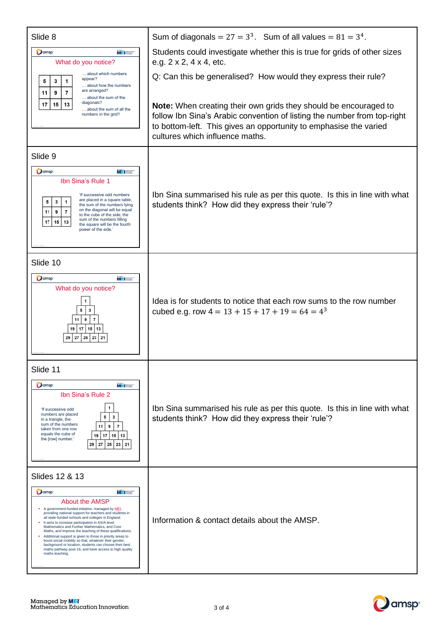| Slide 8                                                                                                                                                                                                                                                                                                                                                                                                                                                                                                                                                                                                                                                                        | Sum of diagonals = $27 = 33$ . Sum of all values = $81 = 34$ .                                                                                                                                                                                              |  |  |  |  |
|--------------------------------------------------------------------------------------------------------------------------------------------------------------------------------------------------------------------------------------------------------------------------------------------------------------------------------------------------------------------------------------------------------------------------------------------------------------------------------------------------------------------------------------------------------------------------------------------------------------------------------------------------------------------------------|-------------------------------------------------------------------------------------------------------------------------------------------------------------------------------------------------------------------------------------------------------------|--|--|--|--|
| Oamsp <sup>®</sup><br><b>ME</b> Methanone<br>What do you notice?<br>about which numbers<br>appear?<br>5<br>3<br>1<br>about how the numbers<br>are arranged?                                                                                                                                                                                                                                                                                                                                                                                                                                                                                                                    | Students could investigate whether this is true for grids of other sizes<br>e.g. $2 \times 2$ , $4 \times 4$ , etc.<br>Q: Can this be generalised? How would they express their rule?                                                                       |  |  |  |  |
| $\overline{7}$<br>11<br>9<br>about the sum of the<br>diagonals?<br>17<br>15<br>13<br>about the sum of all the<br>numbers in the grid?                                                                                                                                                                                                                                                                                                                                                                                                                                                                                                                                          | <b>Note:</b> When creating their own grids they should be encouraged to<br>follow Ibn Sina's Arabic convention of listing the number from top-right<br>to bottom-left. This gives an opportunity to emphasise the varied<br>cultures which influence maths. |  |  |  |  |
| Slide 9                                                                                                                                                                                                                                                                                                                                                                                                                                                                                                                                                                                                                                                                        |                                                                                                                                                                                                                                                             |  |  |  |  |
| <b>O</b> amsp<br>MEI <b>Second</b><br>Ibn Sina's Rule 1<br>'If successive odd numbers<br>are placed in a square table,<br>5<br>3<br>1<br>the sum of the numbers lying<br>on the diagonal will be equal<br>11<br>9<br>$\overline{7}$<br>to the cube of the side; the<br>sum of the numbers filling<br>$17$   15<br>13<br>the square will be the fourth<br>power of the side.'                                                                                                                                                                                                                                                                                                   | Ibn Sina summarised his rule as per this quote. Is this in line with what<br>students think? How did they express their 'rule'?                                                                                                                             |  |  |  |  |
| Slide 10<br>Oamsp <sup>®</sup><br><b>ME</b> Normal<br>What do you notice?<br>1<br>5<br>3<br>$\overline{7}$<br>11<br>9<br>19   17   15   13<br>27<br>  25   23   21<br>29                                                                                                                                                                                                                                                                                                                                                                                                                                                                                                       | Idea is for students to notice that each row sums to the row number<br>cubed e.g. row $4 = 13 + 15 + 17 + 19 = 64 = 4^3$                                                                                                                                    |  |  |  |  |
| Slide 11                                                                                                                                                                                                                                                                                                                                                                                                                                                                                                                                                                                                                                                                       |                                                                                                                                                                                                                                                             |  |  |  |  |
| <b>O</b> amsp<br><b>MEI</b> Berney<br>Ibn Sina's Rule 2<br>1<br>'If successive odd<br>numbers are placed<br>$\mathbf{3}$<br>5<br>in a triangle, the<br>sum of the numbers<br>9<br>$\overline{7}$<br>11<br>taken from one row<br>equals the cube of<br>19   17   15   13<br>the [row] number.'<br>$25 \mid 23 \mid 21$<br>29 27                                                                                                                                                                                                                                                                                                                                                 | Ibn Sina summarised his rule as per this quote. Is this in line with what<br>students think? How did they express their 'rule'?                                                                                                                             |  |  |  |  |
| Slides 12 & 13<br>Oamsp <sup>®</sup><br><b>MEISSE</b><br><b>About the AMSP</b><br>A government-funded initiative, managed by MEI,<br>providing national support for teachers and students in<br>all state-funded schools and colleges in England.<br>It aims to increase participation in AS/A level<br>Mathematics and Further Mathematics, and Core<br>Maths, and improve the teaching of these qualifications.<br>Additional support is given to those in priority areas to<br>boost social mobility so that, whatever their gender,<br>background or location, students can choose their best<br>maths pathway post-16, and have access to high quality<br>maths teaching. | Information & contact details about the AMSP.                                                                                                                                                                                                               |  |  |  |  |